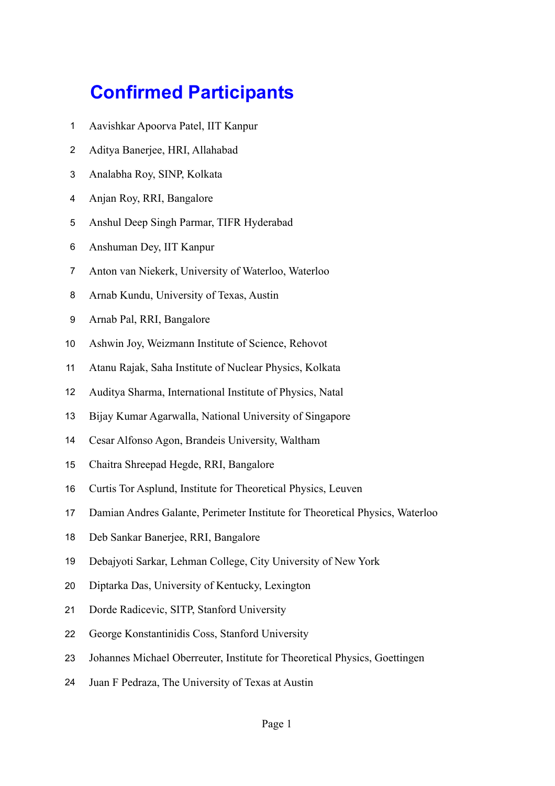## **Confirmed Participants**

- Aavishkar Apoorva Patel, IIT Kanpur
- Aditya Banerjee, HRI, Allahabad
- Analabha Roy, SINP, Kolkata
- Anjan Roy, RRI, Bangalore
- Anshul Deep Singh Parmar, TIFR Hyderabad
- Anshuman Dey, IIT Kanpur
- Anton van Niekerk, University of Waterloo, Waterloo
- Arnab Kundu, University of Texas, Austin
- Arnab Pal, RRI, Bangalore
- Ashwin Joy, Weizmann Institute of Science, Rehovot
- Atanu Rajak, Saha Institute of Nuclear Physics, Kolkata
- Auditya Sharma, International Institute of Physics, Natal
- Bijay Kumar Agarwalla, National University of Singapore
- Cesar Alfonso Agon, Brandeis University, Waltham
- Chaitra Shreepad Hegde, RRI, Bangalore
- Curtis Tor Asplund, Institute for Theoretical Physics, Leuven
- Damian Andres Galante, Perimeter Institute for Theoretical Physics, Waterloo
- Deb Sankar Banerjee, RRI, Bangalore
- Debajyoti Sarkar, Lehman College, City University of New York
- Diptarka Das, University of Kentucky, Lexington
- Dorde Radicevic, SITP, Stanford University
- George Konstantinidis Coss, Stanford University
- Johannes Michael Oberreuter, Institute for Theoretical Physics, Goettingen
- Juan F Pedraza, The University of Texas at Austin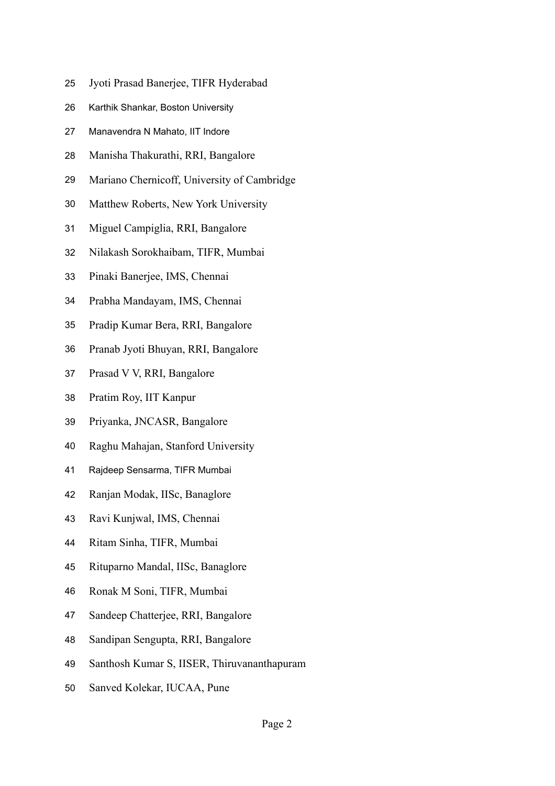- Jyoti Prasad Banerjee, TIFR Hyderabad
- Karthik Shankar, Boston University
- Manavendra N Mahato, IIT Indore
- Manisha Thakurathi, RRI, Bangalore
- Mariano Chernicoff, University of Cambridge
- Matthew Roberts, New York University
- Miguel Campiglia, RRI, Bangalore
- Nilakash Sorokhaibam, TIFR, Mumbai
- Pinaki Banerjee, IMS, Chennai
- Prabha Mandayam, IMS, Chennai
- Pradip Kumar Bera, RRI, Bangalore
- Pranab Jyoti Bhuyan, RRI, Bangalore
- Prasad V V, RRI, Bangalore
- Pratim Roy, IIT Kanpur
- Priyanka, JNCASR, Bangalore
- Raghu Mahajan, Stanford University
- Rajdeep Sensarma, TIFR Mumbai
- Ranjan Modak, IISc, Banaglore
- Ravi Kunjwal, IMS, Chennai
- Ritam Sinha, TIFR, Mumbai
- Rituparno Mandal, IISc, Banaglore
- Ronak M Soni, TIFR, Mumbai
- Sandeep Chatterjee, RRI, Bangalore
- Sandipan Sengupta, RRI, Bangalore
- Santhosh Kumar S, IISER, Thiruvananthapuram
- Sanved Kolekar, IUCAA, Pune